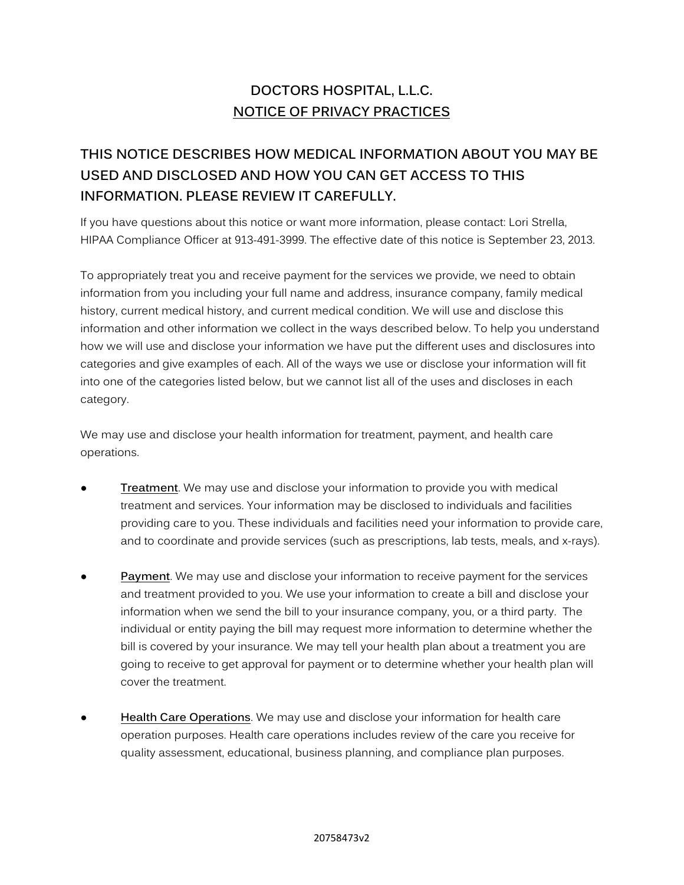## **DOCTORS HOSPITAL, L.L.C. NOTICE OF PRIVACY PRACTICES**

# **THIS NOTICE DESCRIBES HOW MEDICAL INFORMATION ABOUT YOU MAY BE USED AND DISCLOSED AND HOW YOU CAN GET ACCESS TO THIS INFORMATION. PLEASE REVIEW IT CAREFULLY.**

If you have questions about this notice or want more information, please contact: Lori Strella, HIPAA Compliance Officer at 913-491-3999. The effective date of this notice is September 23, 2013.

To appropriately treat you and receive payment for the services we provide, we need to obtain information from you including your full name and address, insurance company, family medical history, current medical history, and current medical condition. We will use and disclose this information and other information we collect in the ways described below. To help you understand how we will use and disclose your information we have put the different uses and disclosures into categories and give examples of each. All of the ways we use or disclose your information will fit into one of the categories listed below, but we cannot list all of the uses and discloses in each category.

We may use and disclose your health information for treatment, payment, and health care operations.

- **Treatment**. We may use and disclose your information to provide you with medical treatment and services. Your information may be disclosed to individuals and facilities providing care to you. These individuals and facilities need your information to provide care, and to coordinate and provide services (such as prescriptions, lab tests, meals, and x-rays).
- **Payment**. We may use and disclose your information to receive payment for the services and treatment provided to you. We use your information to create a bill and disclose your information when we send the bill to your insurance company, you, or a third party. The individual or entity paying the bill may request more information to determine whether the bill is covered by your insurance. We may tell your health plan about a treatment you are going to receive to get approval for payment or to determine whether your health plan will cover the treatment.
- **Health Care Operations**. We may use and disclose your information for health care operation purposes. Health care operations includes review of the care you receive for quality assessment, educational, business planning, and compliance plan purposes.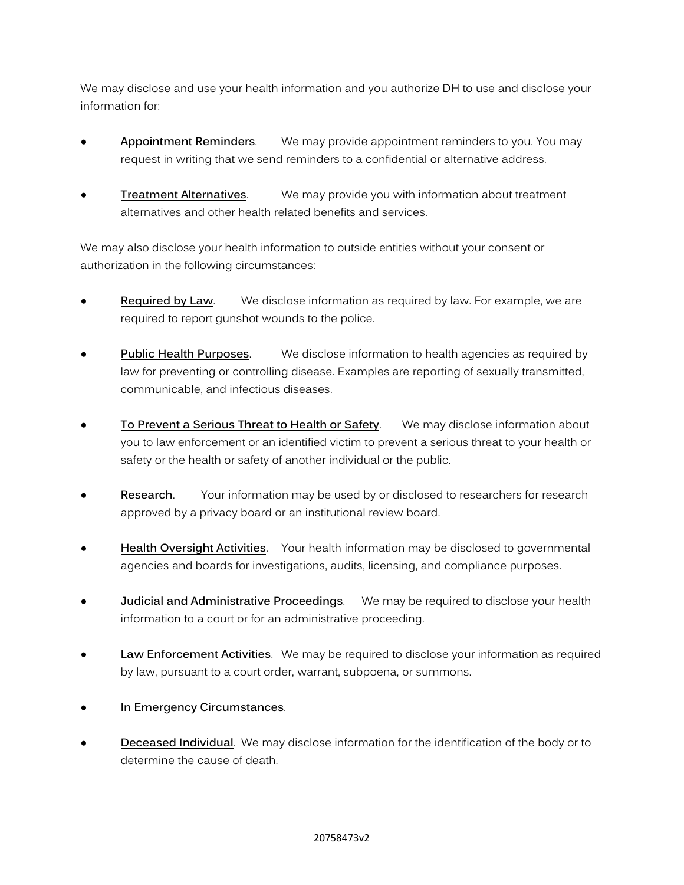We may disclose and use your health information and you authorize DH to use and disclose your information for:

- **Appointment Reminders**. We may provide appointment reminders to you. You may request in writing that we send reminders to a confidential or alternative address.
- **Treatment Alternatives**. We may provide you with information about treatment alternatives and other health related benefits and services.

We may also disclose your health information to outside entities without your consent or authorization in the following circumstances:

- **Required by Law.** We disclose information as required by law. For example, we are required to report gunshot wounds to the police.
- **Public Health Purposes.** We disclose information to health agencies as required by law for preventing or controlling disease. Examples are reporting of sexually transmitted, communicable, and infectious diseases.
- **To Prevent a Serious Threat to Health or Safety.** We may disclose information about you to law enforcement or an identified victim to prevent a serious threat to your health or safety or the health or safety of another individual or the public.
- **Research.** Your information may be used by or disclosed to researchers for research approved by a privacy board or an institutional review board.
- Health Oversight Activities. Your health information may be disclosed to governmental agencies and boards for investigations, audits, licensing, and compliance purposes.
- **Judicial and Administrative Proceedings.** We may be required to disclose your health information to a court or for an administrative proceeding.
- Law Enforcement Activities. We may be required to disclose your information as required by law, pursuant to a court order, warrant, subpoena, or summons.
- **In Emergency Circumstances.**
- **Deceased Individual**. We may disclose information for the identification of the body or to determine the cause of death.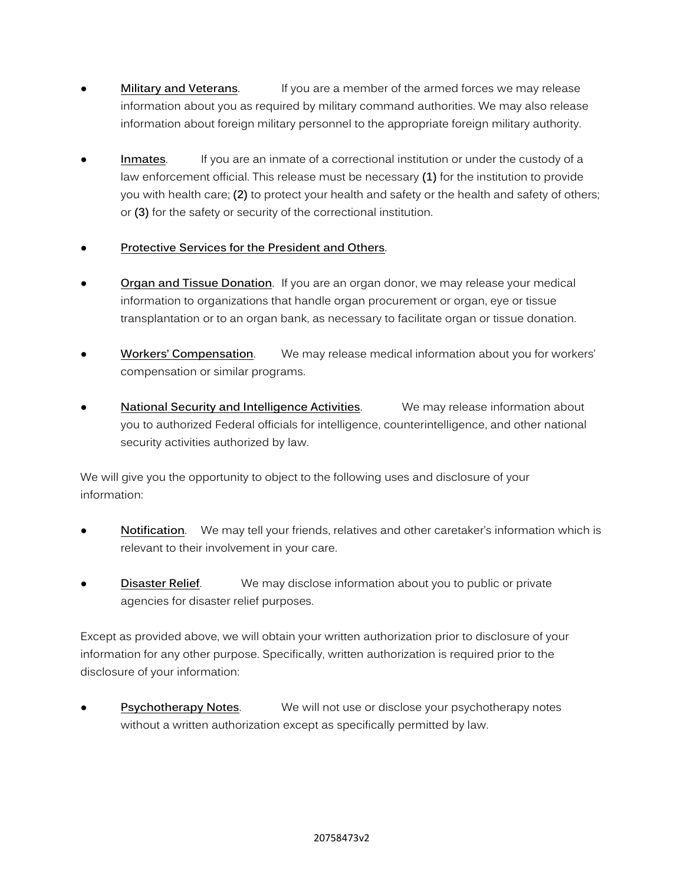- **Military and Veterans.** If you are a member of the armed forces we may release information about you as required by military command authorities. We may also release information about foreign military personnel to the appropriate foreign military authority.
- **Inmates.** If you are an inmate of a correctional institution or under the custody of a law enforcement official. This release must be necessary **(1)** for the institution to provide you with health care; **(2)** to protect your health and safety or the health and safety of others; or **(3)** for the safety or security of the correctional institution.

## **Protective Services for the President and Others.**

- **Organ and Tissue Donation**. If you are an organ donor, we may release your medical information to organizations that handle organ procurement or organ, eye or tissue transplantation or to an organ bank, as necessary to facilitate organ or tissue donation.
- **Workers' Compensation.** We may release medical information about you for workers' compensation or similar programs.
- **National Security and Intelligence Activities**. We may release information about you to authorized Federal officials for intelligence, counterintelligence, and other national security activities authorized by law.

We will give you the opportunity to object to the following uses and disclosure of your information:

- **Notification**. We may tell your friends, relatives and other caretaker's information which is relevant to their involvement in your care.
- **Disaster Relief.** We may disclose information about you to public or private agencies for disaster relief purposes.

Except as provided above, we will obtain your written authorization prior to disclosure of your information for any other purpose. Specifically, written authorization is required prior to the disclosure of your information:

**Psychotherapy Notes.** We will not use or disclose your psychotherapy notes without a written authorization except as specifically permitted by law.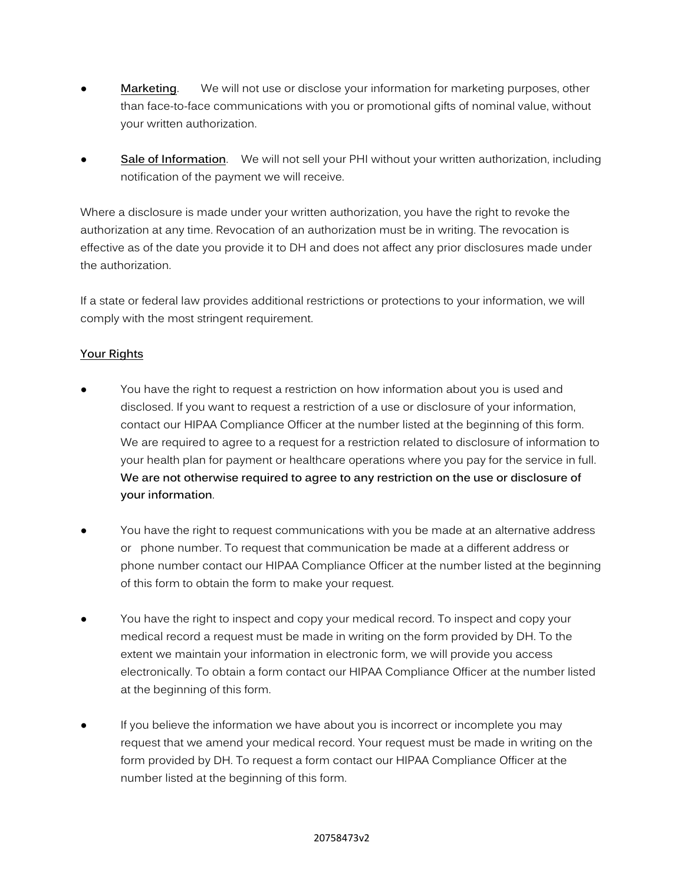- **Marketing.** We will not use or disclose your information for marketing purposes, other than face-to-face communications with you or promotional gifts of nominal value, without your written authorization.
- **Sale of Information**. We will not sell your PHI without your written authorization, including notification of the payment we will receive.

Where a disclosure is made under your written authorization, you have the right to revoke the authorization at any time. Revocation of an authorization must be in writing. The revocation is effective as of the date you provide it to DH and does not affect any prior disclosures made under the authorization.

If a state or federal law provides additional restrictions or protections to your information, we will comply with the most stringent requirement.

## **Your Rights**

- You have the right to request a restriction on how information about you is used and disclosed. If you want to request a restriction of a use or disclosure of your information, contact our HIPAA Compliance Officer at the number listed at the beginning of this form. We are required to agree to a request for a restriction related to disclosure of information to your health plan for payment or healthcare operations where you pay for the service in full. **We are not otherwise required to agree to any restriction on the use or disclosure of your information**.
- You have the right to request communications with you be made at an alternative address or phone number. To request that communication be made at a different address or phone number contact our HIPAA Compliance Officer at the number listed at the beginning of this form to obtain the form to make your request.
- You have the right to inspect and copy your medical record. To inspect and copy your medical record a request must be made in writing on the form provided by DH. To the extent we maintain your information in electronic form, we will provide you access electronically. To obtain a form contact our HIPAA Compliance Officer at the number listed at the beginning of this form.
- If you believe the information we have about you is incorrect or incomplete you may request that we amend your medical record. Your request must be made in writing on the form provided by DH. To request a form contact our HIPAA Compliance Officer at the number listed at the beginning of this form.